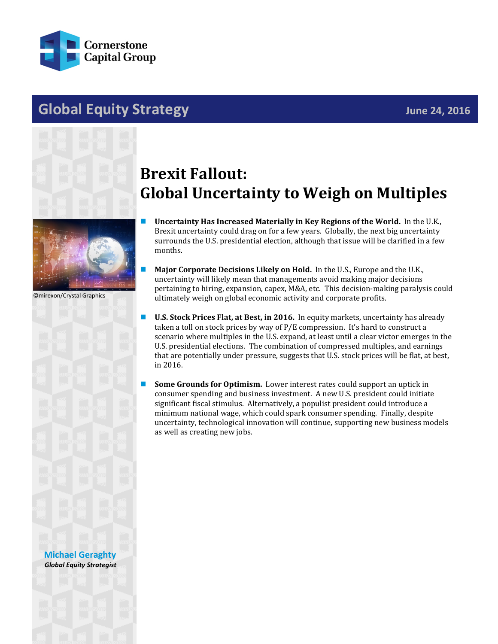

## **Global Equity Strategy June 24, 2016**





©mirexon/Crystal Graphics

## **Brexit Fallout: Global Uncertainty to Weigh on Multiples**

- **Uncertainty Has Increased Materially in Key Regions of the World.** In the U.K., Brexit uncertainty could drag on for a few years. Globally, the next big uncertainty surrounds the U.S. presidential election, although that issue will be clarified in a few months.
- **Major Corporate Decisions Likely on Hold.** In the U.S., Europe and the U.K., uncertainty will likely mean that managements avoid making major decisions pertaining to hiring, expansion, capex, M&A, etc. This decision-making paralysis could ultimately weigh on global economic activity and corporate profits.
- **U.S. Stock Prices Flat, at Best, in 2016.** In equity markets, uncertainty has already taken a toll on stock prices by way of P/E compression. It's hard to construct a scenario where multiples in the U.S. expand, at least until a clear victor emerges in the U.S. presidential elections. The combination of compressed multiples, and earnings that are potentially under pressure, suggests that U.S. stock prices will be flat, at best, in 2016.
- **Some Grounds for Optimism.** Lower interest rates could support an uptick in consumer spending and business investment. A new U.S. president could initiate significant fiscal stimulus. Alternatively, a populist president could introduce a minimum national wage, which could spark consumer spending. Finally, despite uncertainty, technological innovation will continue, supporting new business models as well as creating new jobs.

**[Michael Geraghty](mailto:michael.geraghty@cornerstonecapinc.com)** *Global Equity Strategist*